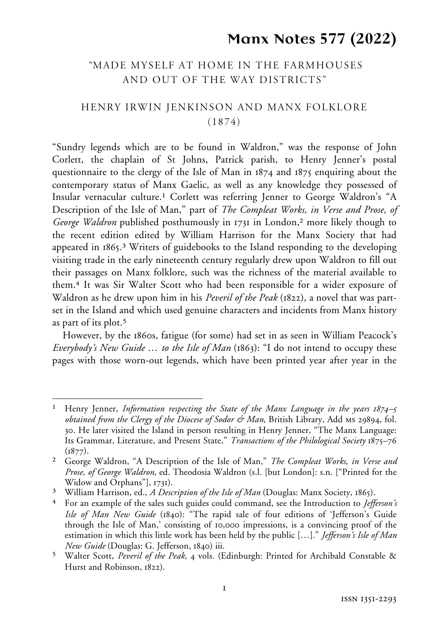# **Manx Notes 577 (2022)**

# "MADE MYSELF AT HOME IN THE FARMHOUSES AND OUT OF THE WAY DISTRICTS"

# HENRY IRWIN JENKINSON and MANX FOLKLORE (1874)

"Sundry legends which are to be found in Waldron," was the response of John Corlett, the chaplain of St Johns, Patrick parish, to Henry Jenner's postal questionnaire to the clergy of the Isle of Man in 1874 and 1875 enquiring about the contemporary status of Manx Gaelic, as well as any knowledge they possessed of Insular vernacular culture.1 Corlett was referring Jenner to George Waldron's "A Description of the Isle of Man," part of *The Compleat Works, in Verse and Prose, of George Waldron* published posthumously in 1731 in London,<sup>2</sup> more likely though to the recent edition edited by William Harrison for the Manx Society that had appeared in 1865.3 Writers of guidebooks to the Island responding to the developing visiting trade in the early nineteenth century regularly drew upon Waldron to fill out their passages on Manx folklore, such was the richness of the material available to them.4 It was Sir Walter Scott who had been responsible for a wider exposure of Waldron as he drew upon him in his *Peveril of the Peak* (1822), a novel that was partset in the Island and which used genuine characters and incidents from Manx history as part of its plot.5

However, by the 1860s, fatigue (for some) had set in as seen in William Peacock's *Everybody's New Guide* … *to the Isle of Man* (1863): "I do not intend to occupy these pages with those worn-out legends, which have been printed year after year in the

<sup>1</sup> <sup>1</sup> Henry Jenner, *Information respecting the State of the Manx Language in the years*  $1874 - 5$ *obtained from the Clergy of the Diocese of Sodor & Man*, British Library, Add ms 29894, fol. 30. He later visited the Island in person resulting in Henry Jenner, "The Manx Language: Its Grammar, Literature, and Present State," *Transactions of the Philological Society* 1875–76  $(1877)$ .

<sup>2</sup> George Waldron, "A Description of the Isle of Man," *The Compleat Works, in Verse and Prose, of George Waldron*, ed. Theodosia Waldron (s.l. [but London]: s.n. ["Printed for the Widow and Orphans"], 1731).

<sup>3</sup> William Harrison, ed., *A Description of the Isle of Man* (Douglas: Manx Society, 1865).

<sup>4</sup> For an example of the sales such guides could command, see the Introduction to *Jefferson's Isle of Man New Guide* (1840): "The rapid sale of four editions of 'Jefferson's Guide through the Isle of Man,' consisting of 10,000 impressions, is a convincing proof of the estimation in which this little work has been held by the public […]." *Jefferson's Isle of Man New Guide* (Douglas: G. Jefferson, 1840) iii.

<sup>5</sup> Walter Scott, *Peveril of the Peak*, 4 vols. (Edinburgh: Printed for Archibald Constable & Hurst and Robinson, 1822).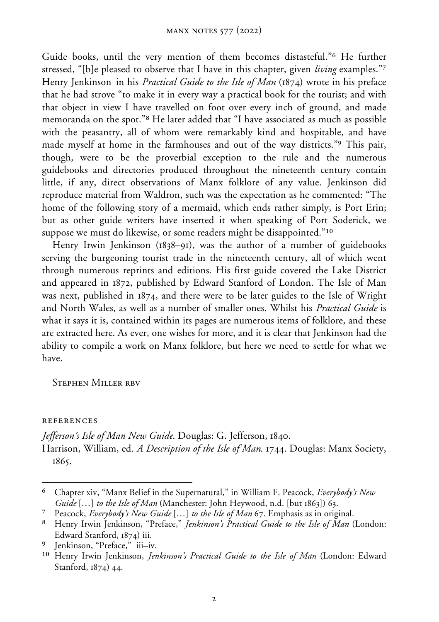Guide books, until the very mention of them becomes distasteful."6 He further stressed, "[b]e pleased to observe that I have in this chapter, given *living* examples."7 Henry Jenkinson in his *Practical Guide to the Isle of Man* (1874) wrote in his preface that he had strove "to make it in every way a practical book for the tourist; and with that object in view I have travelled on foot over every inch of ground, and made memoranda on the spot."8 He later added that "I have associated as much as possible with the peasantry, all of whom were remarkably kind and hospitable, and have made myself at home in the farmhouses and out of the way districts."9 This pair, though, were to be the proverbial exception to the rule and the numerous guidebooks and directories produced throughout the nineteenth century contain little, if any, direct observations of Manx folklore of any value. Jenkinson did reproduce material from Waldron, such was the expectation as he commented: "The home of the following story of a mermaid, which ends rather simply, is Port Erin; but as other guide writers have inserted it when speaking of Port Soderick, we suppose we must do likewise, or some readers might be disappointed."<sup>10</sup>

Henry Irwin Jenkinson (1838–91), was the author of a number of guidebooks serving the burgeoning tourist trade in the nineteenth century, all of which went through numerous reprints and editions. His first guide covered the Lake District and appeared in 1872, published by Edward Stanford of London. The Isle of Man was next, published in 1874, and there were to be later guides to the Isle of Wright and North Wales, as well as a number of smaller ones. Whilst his *Practical Guide* is what it says it is, contained within its pages are numerous items of folklore, and these are extracted here. As ever, one wishes for more, and it is clear that Jenkinson had the ability to compile a work on Manx folklore, but here we need to settle for what we have.

Stephen Miller rbv

references

*Jefferson's Isle of Man New Guide*. Douglas: G. Jefferson, 1840. Harrison, William, ed. *A Description of the Isle of Man*. 1744. Douglas: Manx Society, 1865.

<sup>-</sup>6 Chapter xiv, "Manx Belief in the Supernatural," in William F. Peacock, *Everybody's New Guide* […] *to the Isle of Man* (Manchester: John Heywood, n.d. [but 1863]) 63.

<sup>7</sup> Peacock, *Everybody's New Guide* […] *to the Isle of Man* 67. Emphasis as in original.

<sup>8</sup> Henry Irwin Jenkinson, "Preface," *Jenkinson's Practical Guide to the Isle of Man* (London: Edward Stanford, 1874) iii.

<sup>9</sup> Jenkinson, "Preface," iii–iv.

<sup>10</sup> Henry Irwin Jenkinson, *Jenkinson's Practical Guide to the Isle of Man* (London: Edward Stanford, 1874) 44.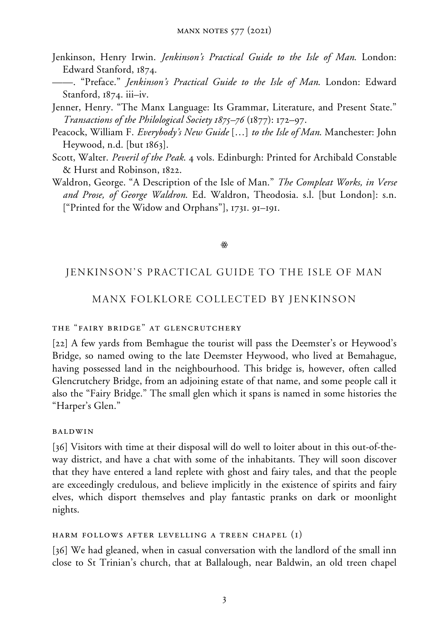- Jenkinson, Henry Irwin. *Jenkinson's Practical Guide to the Isle of Man*. London: Edward Stanford, 1874.
- ——. "Preface." *Jenkinson's Practical Guide to the Isle of Man*. London: Edward Stanford, 1874. iii–iv.
- Jenner, Henry. "The Manx Language: Its Grammar, Literature, and Present State." *Transactions of the Philological Society 1875–76* (1877): 172–97.
- Peacock, William F. *Everybody's New Guide* […] *to the Isle of Man*. Manchester: John Heywood, n.d. [but 1863].
- Scott, Walter. *Peveril of the Peak*. 4 vols. Edinburgh: Printed for Archibald Constable & Hurst and Robinson, 1822.
- Waldron, George. "A Description of the Isle of Man." *The Compleat Works, in Verse and Prose, of George Waldron*. Ed. Waldron, Theodosia. s.l. [but London]: s.n. ["Printed for the Widow and Orphans"], 1731. 91–191.

#### $\frac{\partial \mathcal{L}}{\partial \mathcal{L}}$

# JENKINSON'S PRACTICAL GUIDE TO THE ISLE OF MAN

#### MANX FOLKLORE COLLECTED BY JENKINSON

### the "fairy bridge" at glencrutchery

[22] A few yards from Bemhague the tourist will pass the Deemster's or Heywood's Bridge, so named owing to the late Deemster Heywood, who lived at Bemahague, having possessed land in the neighbourhood. This bridge is, however, often called Glencrutchery Bridge, from an adjoining estate of that name, and some people call it also the "Fairy Bridge." The small glen which it spans is named in some histories the "Harper's Glen."

#### baldwin

[36] Visitors with time at their disposal will do well to loiter about in this out-of-theway district, and have a chat with some of the inhabitants. They will soon discover that they have entered a land replete with ghost and fairy tales, and that the people are exceedingly credulous, and believe implicitly in the existence of spirits and fairy elves, which disport themselves and play fantastic pranks on dark or moonlight nights.

#### harm follows after levelling a treen chapel (1)

[36] We had gleaned, when in casual conversation with the landlord of the small inn close to St Trinian's church, that at Ballalough, near Baldwin, an old treen chapel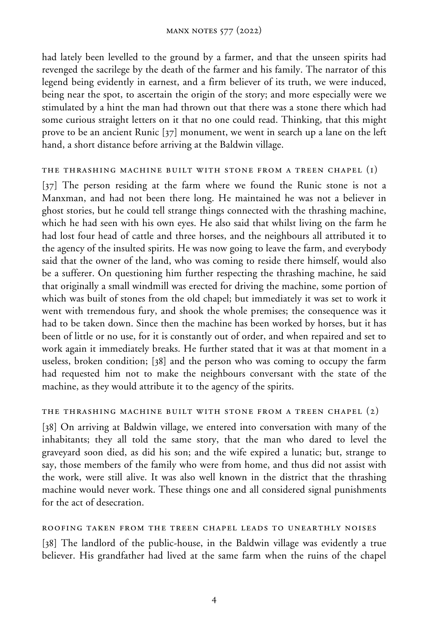had lately been levelled to the ground by a farmer, and that the unseen spirits had revenged the sacrilege by the death of the farmer and his family. The narrator of this legend being evidently in earnest, and a firm believer of its truth, we were induced, being near the spot, to ascertain the origin of the story; and more especially were we stimulated by a hint the man had thrown out that there was a stone there which had some curious straight letters on it that no one could read. Thinking, that this might prove to be an ancient Runic [37] monument, we went in search up a lane on the left hand, a short distance before arriving at the Baldwin village.

#### the thrashing machine built with stone from a treen chapel (1)

[37] The person residing at the farm where we found the Runic stone is not a Manxman, and had not been there long. He maintained he was not a believer in ghost stories, but he could tell strange things connected with the thrashing machine, which he had seen with his own eyes. He also said that whilst living on the farm he had lost four head of cattle and three horses, and the neighbours all attributed it to the agency of the insulted spirits. He was now going to leave the farm, and everybody said that the owner of the land, who was coming to reside there himself, would also be a sufferer. On questioning him further respecting the thrashing machine, he said that originally a small windmill was erected for driving the machine, some portion of which was built of stones from the old chapel; but immediately it was set to work it went with tremendous fury, and shook the whole premises; the consequence was it had to be taken down. Since then the machine has been worked by horses, but it has been of little or no use, for it is constantly out of order, and when repaired and set to work again it immediately breaks. He further stated that it was at that moment in a useless, broken condition; [38] and the person who was coming to occupy the farm had requested him not to make the neighbours conversant with the state of the machine, as they would attribute it to the agency of the spirits.

#### the thrashing machine built with stone from a treen chapel (2)

[38] On arriving at Baldwin village, we entered into conversation with many of the inhabitants; they all told the same story, that the man who dared to level the graveyard soon died, as did his son; and the wife expired a lunatic; but, strange to say, those members of the family who were from home, and thus did not assist with the work, were still alive. It was also well known in the district that the thrashing machine would never work. These things one and all considered signal punishments for the act of desecration.

#### roofing taken from the treen chapel leads to unearthly noises

[38] The landlord of the public-house, in the Baldwin village was evidently a true believer. His grandfather had lived at the same farm when the ruins of the chapel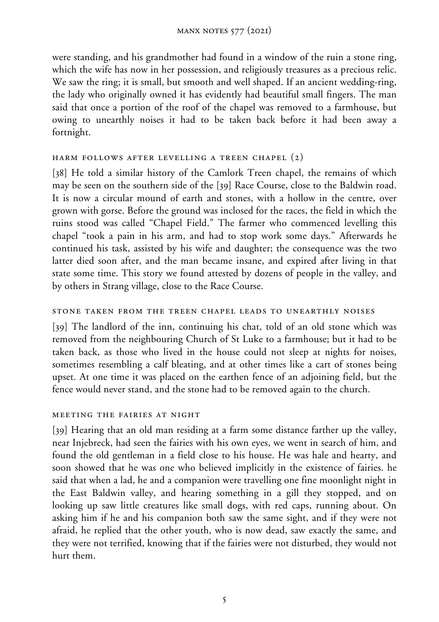were standing, and his grandmother had found in a window of the ruin a stone ring, which the wife has now in her possession, and religiously treasures as a precious relic. We saw the ring; it is small, but smooth and well shaped. If an ancient wedding-ring, the lady who originally owned it has evidently had beautiful small fingers. The man said that once a portion of the roof of the chapel was removed to a farmhouse, but owing to unearthly noises it had to be taken back before it had been away a fortnight.

### harm follows after levelling a treen chapel (2)

[38] He told a similar history of the Camlork Treen chapel, the remains of which may be seen on the southern side of the [39] Race Course, close to the Baldwin road. It is now a circular mound of earth and stones, with a hollow in the centre, over grown with gorse. Before the ground was inclosed for the races, the field in which the ruins stood was called "Chapel Field." The farmer who commenced levelling this chapel "took a pain in his arm, and had to stop work some days." Afterwards he continued his task, assisted by his wife and daughter; the consequence was the two latter died soon after, and the man became insane, and expired after living in that state some time. This story we found attested by dozens of people in the valley, and by others in Strang village, close to the Race Course.

#### stone taken from the treen chapel leads to unearthly noises

[39] The landlord of the inn, continuing his chat, told of an old stone which was removed from the neighbouring Church of St Luke to a farmhouse; but it had to be taken back, as those who lived in the house could not sleep at nights for noises, sometimes resembling a calf bleating, and at other times like a cart of stones being upset. At one time it was placed on the earthen fence of an adjoining field, but the fence would never stand, and the stone had to be removed again to the church.

#### meeting the fairies at night

[39] Hearing that an old man residing at a farm some distance farther up the valley, near Injebreck, had seen the fairies with his own eyes, we went in search of him, and found the old gentleman in a field close to his house. He was hale and hearty, and soon showed that he was one who believed implicitly in the existence of fairies. he said that when a lad, he and a companion were travelling one fine moonlight night in the East Baldwin valley, and hearing something in a gill they stopped, and on looking up saw little creatures like small dogs, with red caps, running about. On asking him if he and his companion both saw the same sight, and if they were not afraid, he replied that the other youth, who is now dead, saw exactly the same, and they were not terrified, knowing that if the fairies were not disturbed, they would not hurt them.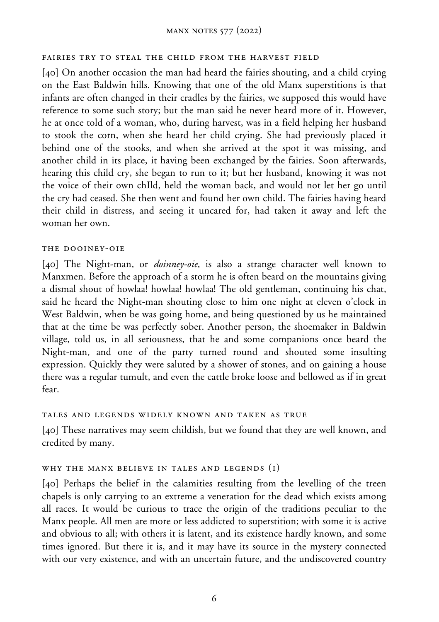#### manx notes 577 (2022)

#### fairies try to steal the child from the harvest field

[40] On another occasion the man had heard the fairies shouting, and a child crying on the East Baldwin hills. Knowing that one of the old Manx superstitions is that infants are often changed in their cradles by the fairies, we supposed this would have reference to some such story; but the man said he never heard more of it. However, he at once told of a woman, who, during harvest, was in a field helping her husband to stook the corn, when she heard her child crying. She had previously placed it behind one of the stooks, and when she arrived at the spot it was missing, and another child in its place, it having been exchanged by the fairies. Soon afterwards, hearing this child cry, she began to run to it; but her husband, knowing it was not the voice of their own chIld, held the woman back, and would not let her go until the cry had ceased. She then went and found her own child. The fairies having heard their child in distress, and seeing it uncared for, had taken it away and left the woman her own.

#### the dooiney-oie

[40] The Night-man, or *doinney-oie*, is also a strange character well known to Manxmen. Before the approach of a storm he is often beard on the mountains giving a dismal shout of howlaa! howlaa! howlaa! The old gentleman, continuing his chat, said he heard the Night-man shouting close to him one night at eleven o'clock in West Baldwin, when be was going home, and being questioned by us he maintained that at the time be was perfectly sober. Another person, the shoemaker in Baldwin village, told us, in all seriousness, that he and some companions once beard the Night-man, and one of the party turned round and shouted some insulting expression. Quickly they were saluted by a shower of stones, and on gaining a house there was a regular tumult, and even the cattle broke loose and bellowed as if in great fear.

#### tales and legends widely known and taken as true

[40] These narratives may seem childish, but we found that they are well known, and credited by many.

#### why the manx believe in tales and legends (1)

[40] Perhaps the belief in the calamities resulting from the levelling of the treen chapels is only carrying to an extreme a veneration for the dead which exists among all races. It would be curious to trace the origin of the traditions peculiar to the Manx people. All men are more or less addicted to superstition; with some it is active and obvious to all; with others it is latent, and its existence hardly known, and some times ignored. But there it is, and it may have its source in the mystery connected with our very existence, and with an uncertain future, and the undiscovered country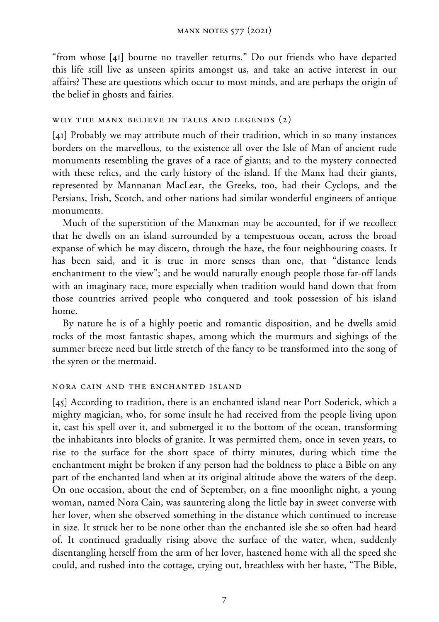"from whose [41] bourne no traveller returns." Do our friends who have departed this life still live as unseen spirits amongst us, and take an active interest in our affairs? These are questions which occur to most minds, and are perhaps the origin of the belief in ghosts and fairies.

#### why the manx believe in tales and legends (2)

[41] Probably we may attribute much of their tradition, which in so many instances borders on the marvellous, to the existence all over the Isle of Man of ancient rude monuments resembling the graves of a race of giants; and to the mystery connected with these relics, and the early history of the island. If the Manx had their giants, represented by Mannanan MacLear, the Greeks, too, had their Cyclops, and the Persians, Irish, Scotch, and other nations had similar wonderful engineers of antique monuments.

Much of the superstition of the Manxman may be accounted, for if we recollect that he dwells on an island surrounded by a tempestuous ocean, across the broad expanse of which he may discern, through the haze, the four neighbouring coasts. It has been said, and it is true in more senses than one, that "distance lends enchantment to the view"; and he would naturally enough people those far-off lands with an imaginary race, more especially when tradition would hand down that from those countries arrived people who conquered and took possession of his island home.

By nature he is of a highly poetic and romantic disposition, and he dwells amid rocks of the most fantastic shapes, among which the murmurs and sighings of the summer breeze need but little stretch of the fancy to be transformed into the song of the syren or the mermaid.

#### nora cain and the enchanted island

[45] According to tradition, there is an enchanted island near Port Soderick, which a mighty magician, who, for some insult he had received from the people living upon it, cast his spell over it, and submerged it to the bottom of the ocean, transforming the inhabitants into blocks of granite. It was permitted them, once in seven years, to rise to the surface for the short space of thirty minutes, during which time the enchantment might be broken if any person had the boldness to place a Bible on any part of the enchanted land when at its original altitude above the waters of the deep. On one occasion, about the end of September, on a fine moonlight night, a young woman, named Nora Cain, was sauntering along the little bay in sweet converse with her lover, when she observed something in the distance which continued to increase in size. It struck her to be none other than the enchanted isle she so often had heard of. It continued gradually rising above the surface of the water, when, suddenly disentangling herself from the arm of her lover, hastened home with all the speed she could, and rushed into the cottage, crying out, breathless with her haste, "The Bible,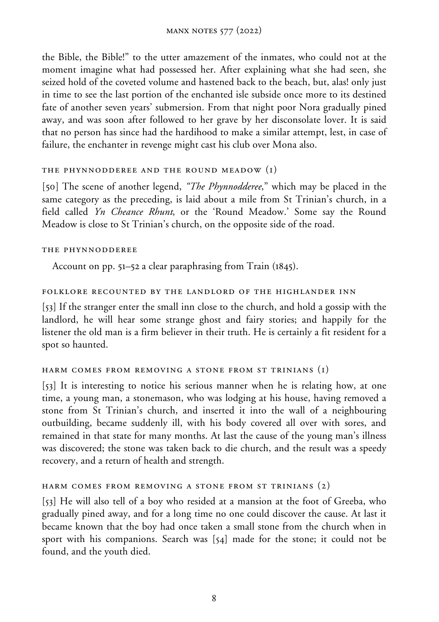the Bible, the Bible!" to the utter amazement of the inmates, who could not at the moment imagine what had possessed her. After explaining what she had seen, she seized hold of the coveted volume and hastened back to the beach, but, alas! only just in time to see the last portion of the enchanted isle subside once more to its destined fate of another seven years' submersion. From that night poor Nora gradually pined away, and was soon after followed to her grave by her disconsolate lover. It is said that no person has since had the hardihood to make a similar attempt, lest, in case of failure, the enchanter in revenge might cast his club over Mona also.

### the phynnodderee and the round meadow (1)

[50] The scene of another legend, *"The Phynnodderee*," which may be placed in the same category as the preceding, is laid about a mile from St Trinian's church, in a field called *Yn Cheance Rhunt*, or the 'Round Meadow.' Some say the Round Meadow is close to St Trinian's church, on the opposite side of the road.

### the phynnodderee

Account on pp. 51–52 a clear paraphrasing from Train (1845).

### folklore recounted by the landlord of the highlander inn

[53] If the stranger enter the small inn close to the church, and hold a gossip with the landlord, he will hear some strange ghost and fairy stories; and happily for the listener the old man is a firm believer in their truth. He is certainly a fit resident for a spot so haunted.

### harm comes from removing a stone from st trinians (1)

[53] It is interesting to notice his serious manner when he is relating how, at one time, a young man, a stonemason, who was lodging at his house, having removed a stone from St Trinian's church, and inserted it into the wall of a neighbouring outbuilding, became suddenly ill, with his body covered all over with sores, and remained in that state for many months. At last the cause of the young man's illness was discovered; the stone was taken back to die church, and the result was a speedy recovery, and a return of health and strength.

### harm comes from removing a stone from st trinians (2)

[53] He will also tell of a boy who resided at a mansion at the foot of Greeba, who gradually pined away, and for a long time no one could discover the cause. At last it became known that the boy had once taken a small stone from the church when in sport with his companions. Search was [54] made for the stone; it could not be found, and the youth died.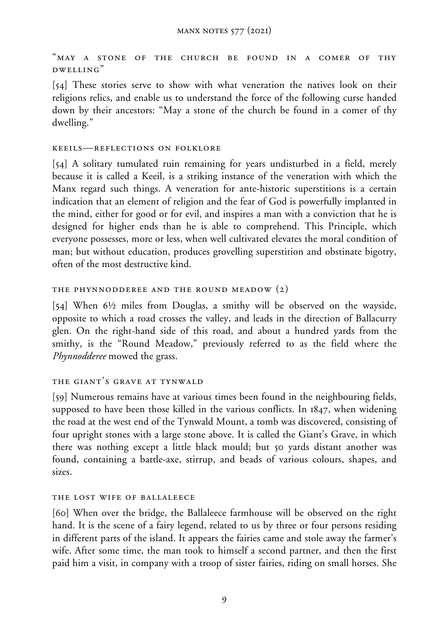"may a stone of the church be found in a comer of thy dwelling"

[54] These stories serve to show with what veneration the natives look on their religions relics, and enable us to understand the force of the following curse handed down by their ancestors: "May a stone of the church be found in a comer of thy dwelling."

#### keeils—reflections on folklore

[54] A solitary tumulated ruin remaining for years undisturbed in a field, merely because it is called a Keeil, is a striking instance of the veneration with which the Manx regard such things. A veneration for ante-historic superstitions is a certain indication that an element of religion and the fear of God is powerfully implanted in the mind, either for good or for evil, and inspires a man with a conviction that he is designed for higher ends than he is able to comprehend. This Principle, which everyone possesses, more or less, when well cultivated elevates the moral condition of man; but without education, produces grovelling superstition and obstinate bigotry, often of the most destructive kind.

### the phynnodderee and the round meadow (2)

[54] When  $6\frac{1}{2}$  miles from Douglas, a smithy will be observed on the wayside, opposite to which a road crosses the valley, and leads in the direction of Ballacurry glen. On the right-hand side of this road, and about a hundred yards from the smithy, is the "Round Meadow," previously referred to as the field where the *Phynnodderee* mowed the grass.

### the giant's grave at tynwald

[59] Numerous remains have at various times been found in the neighbouring fields, supposed to have been those killed in the various conflicts. In 1847, when widening the road at the west end of the Tynwald Mount, a tomb was discovered, consisting of four upright stones with a large stone above. It is called the Giant's Grave, in which there was nothing except a little black mould; but 50 yards distant another was found, containing a battle-axe, stirrup, and beads of various colours, shapes, and sizes.

### the lost wife of ballaleece

[60] When over the bridge, the Ballaleece farmhouse will be observed on the right hand. It is the scene of a fairy legend, related to us by three or four persons residing in different parts of the island. It appears the fairies came and stole away the farmer's wife. After some time, the man took to himself a second partner, and then the first paid him a visit, in company with a troop of sister fairies, riding on small horses. She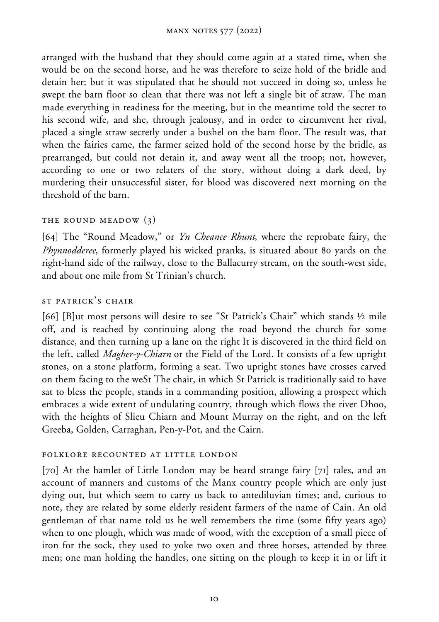arranged with the husband that they should come again at a stated time, when she would be on the second horse, and he was therefore to seize hold of the bridle and detain her; but it was stipulated that he should not succeed in doing so, unless he swept the barn floor so clean that there was not left a single bit of straw. The man made everything in readiness for the meeting, but in the meantime told the secret to his second wife, and she, through jealousy, and in order to circumvent her rival, placed a single straw secretly under a bushel on the bam floor. The result was, that when the fairies came, the farmer seized hold of the second horse by the bridle, as prearranged, but could not detain it, and away went all the troop; not, however, according to one or two relaters of the story, without doing a dark deed, by murdering their unsuccessful sister, for blood was discovered next morning on the threshold of the barn.

### THE ROUND MEADOW (3)

[64] The "Round Meadow," or *Yn Cheance Rhunt*, where the reprobate fairy, the *Phynnodderee*, formerly played his wicked pranks, is situated about 80 yards on the right-hand side of the railway, close to the Ballacurry stream, on the south-west side, and about one mile from St Trinian's church.

### st patrick's chair

[66] [B]ut most persons will desire to see "St Patrick's Chair" which stands  $\frac{1}{2}$  mile off, and is reached by continuing along the road beyond the church for some distance, and then turning up a lane on the right It is discovered in the third field on the left, called *Magher-y-Chiarn* or the Field of the Lord. It consists of a few upright stones, on a stone platform, forming a seat. Two upright stones have crosses carved on them facing to the weSt The chair, in which St Patrick is traditionally said to have sat to bless the people, stands in a commanding position, allowing a prospect which embraces a wide extent of undulating country, through which flows the river Dhoo, with the heights of Slieu Chiarn and Mount Murray on the right, and on the left Greeba, Golden, Carraghan, Pen-y-Pot, and the Cairn.

### folklore recounted at little london

[70] At the hamlet of Little London may be heard strange fairy [71] tales, and an account of manners and customs of the Manx country people which are only just dying out, but which seem to carry us back to antediluvian times; and, curious to note, they are related by some elderly resident farmers of the name of Cain. An old gentleman of that name told us he well remembers the time (some fifty years ago) when to one plough, which was made of wood, with the exception of a small piece of iron for the sock, they used to yoke two oxen and three horses, attended by three men; one man holding the handles, one sitting on the plough to keep it in or lift it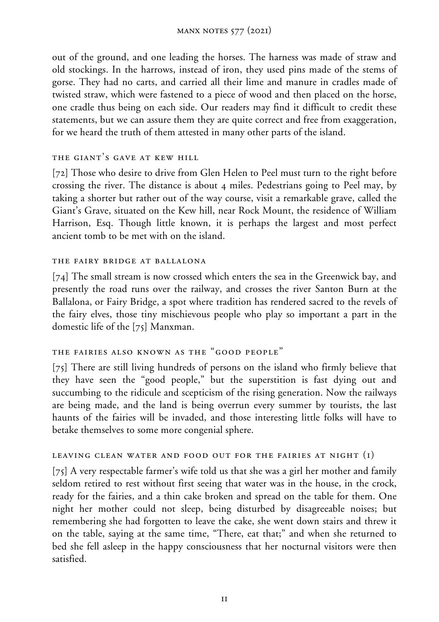out of the ground, and one leading the horses. The harness was made of straw and old stockings. In the harrows, instead of iron, they used pins made of the stems of gorse. They had no carts, and carried all their lime and manure in cradles made of twisted straw, which were fastened to a piece of wood and then placed on the horse, one cradle thus being on each side. Our readers may find it difficult to credit these statements, but we can assure them they are quite correct and free from exaggeration, for we heard the truth of them attested in many other parts of the island.

### the giant's gave at kew hill

[72] Those who desire to drive from Glen Helen to Peel must turn to the right before crossing the river. The distance is about 4 miles. Pedestrians going to Peel may, by taking a shorter but rather out of the way course, visit a remarkable grave, called the Giant's Grave, situated on the Kew hill, near Rock Mount, the residence of William Harrison, Esq. Though little known, it is perhaps the largest and most perfect ancient tomb to be met with on the island.

### the fairy bridge at ballalona

[74] The small stream is now crossed which enters the sea in the Greenwick bay, and presently the road runs over the railway, and crosses the river Santon Burn at the Ballalona, or Fairy Bridge, a spot where tradition has rendered sacred to the revels of the fairy elves, those tiny mischievous people who play so important a part in the domestic life of the [75] Manxman.

# the fairies also known as the "good people"

[75] There are still living hundreds of persons on the island who firmly believe that they have seen the "good people," but the superstition is fast dying out and succumbing to the ridicule and scepticism of the rising generation. Now the railways are being made, and the land is being overrun every summer by tourists, the last haunts of the fairies will be invaded, and those interesting little folks will have to betake themselves to some more congenial sphere.

### leaving clean water and food out for the fairies at night (1)

[75] A very respectable farmer's wife told us that she was a girl her mother and family seldom retired to rest without first seeing that water was in the house, in the crock, ready for the fairies, and a thin cake broken and spread on the table for them. One night her mother could not sleep, being disturbed by disagreeable noises; but remembering she had forgotten to leave the cake, she went down stairs and threw it on the table, saying at the same time, "There, eat that;" and when she returned to bed she fell asleep in the happy consciousness that her nocturnal visitors were then satisfied.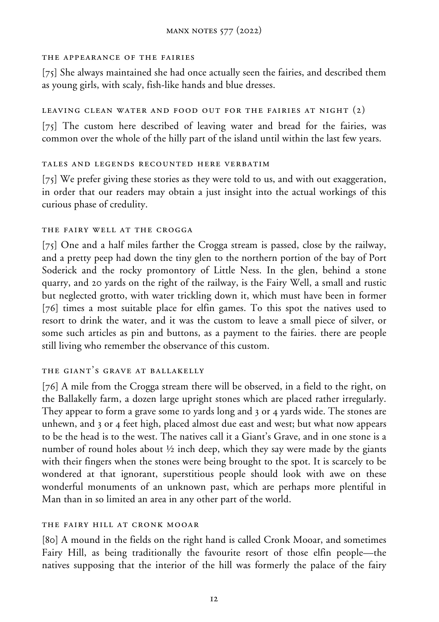#### the appearance of the fairies

[75] She always maintained she had once actually seen the fairies, and described them as young girls, with scaly, fish-like hands and blue dresses.

### LEAVING CLEAN WATER AND FOOD OUT FOR THE FAIRIES AT NIGHT  $(2)$

[75] The custom here described of leaving water and bread for the fairies, was common over the whole of the hilly part of the island until within the last few years.

### tales and legends recounted here verbatim

[75] We prefer giving these stories as they were told to us, and with out exaggeration, in order that our readers may obtain a just insight into the actual workings of this curious phase of credulity.

### the fairy well at the crogga

[75] One and a half miles farther the Crogga stream is passed, close by the railway, and a pretty peep had down the tiny glen to the northern portion of the bay of Port Soderick and the rocky promontory of Little Ness. In the glen, behind a stone quarry, and 20 yards on the right of the railway, is the Fairy Well, a small and rustic but neglected grotto, with water trickling down it, which must have been in former [76] times a most suitable place for elfin games. To this spot the natives used to resort to drink the water, and it was the custom to leave a small piece of silver, or some such articles as pin and buttons, as a payment to the fairies. there are people still living who remember the observance of this custom.

# the giant's grave at ballakelly

[76] A mile from the Crogga stream there will be observed, in a field to the right, on the Ballakelly farm, a dozen large upright stones which are placed rather irregularly. They appear to form a grave some 10 yards long and 3 or 4 yards wide. The stones are unhewn, and 3 or 4 feet high, placed almost due east and west; but what now appears to be the head is to the west. The natives call it a Giant's Grave, and in one stone is a number of round holes about  $\frac{1}{2}$  inch deep, which they say were made by the giants with their fingers when the stones were being brought to the spot. It is scarcely to be wondered at that ignorant, superstitious people should look with awe on these wonderful monuments of an unknown past, which are perhaps more plentiful in Man than in so limited an area in any other part of the world.

### the fairy hill at cronk mooar

[80] A mound in the fields on the right hand is called Cronk Mooar, and sometimes Fairy Hill, as being traditionally the favourite resort of those elfin people—the natives supposing that the interior of the hill was formerly the palace of the fairy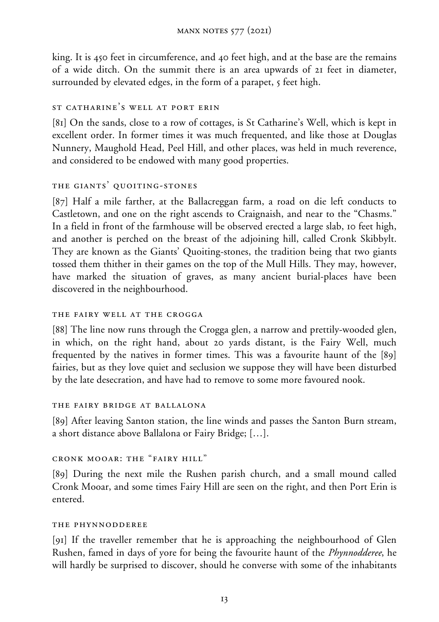king. It is 450 feet in circumference, and 40 feet high, and at the base are the remains of a wide ditch. On the summit there is an area upwards of 21 feet in diameter, surrounded by elevated edges, in the form of a parapet, 5 feet high.

### st catharine's well at port erin

[81] On the sands, close to a row of cottages, is St Catharine's Well, which is kept in excellent order. In former times it was much frequented, and like those at Douglas Nunnery, Maughold Head, Peel Hill, and other places, was held in much reverence, and considered to be endowed with many good properties.

# the giants' quoiting-stones

[87] Half a mile farther, at the Ballacreggan farm, a road on die left conducts to Castletown, and one on the right ascends to Craignaish, and near to the "Chasms." In a field in front of the farmhouse will be observed erected a large slab, 10 feet high, and another is perched on the breast of the adjoining hill, called Cronk Skibbylt. They are known as the Giants' Quoiting-stones, the tradition being that two giants tossed them thither in their games on the top of the Mull Hills. They may, however, have marked the situation of graves, as many ancient burial-places have been discovered in the neighbourhood.

### the fairy well at the crogga

[88] The line now runs through the Crogga glen, a narrow and prettily-wooded glen, in which, on the right hand, about 20 yards distant, is the Fairy Well, much frequented by the natives in former times. This was a favourite haunt of the [89] fairies, but as they love quiet and seclusion we suppose they will have been disturbed by the late desecration, and have had to remove to some more favoured nook.

### the fairy bridge at ballalona

[89] After leaving Santon station, the line winds and passes the Santon Burn stream, a short distance above Ballalona or Fairy Bridge; […].

# cronk mooar: the "fairy hill"

[89] During the next mile the Rushen parish church, and a small mound called Cronk Mooar, and some times Fairy Hill are seen on the right, and then Port Erin is entered.

### the phynnodderee

[91] If the traveller remember that he is approaching the neighbourhood of Glen Rushen, famed in days of yore for being the favourite haunt of the *Phynnodderee*, he will hardly be surprised to discover, should he converse with some of the inhabitants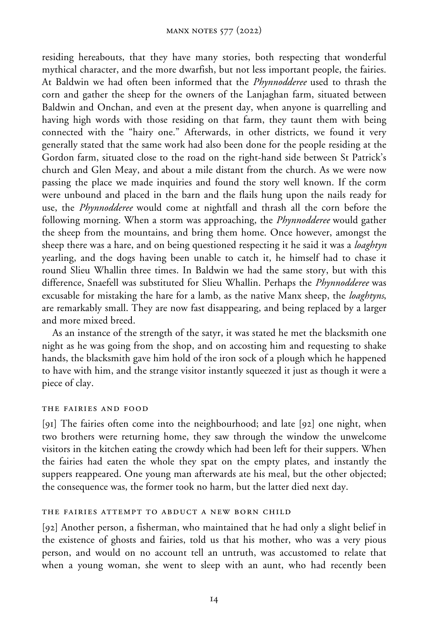residing hereabouts, that they have many stories, both respecting that wonderful mythical character, and the more dwarfish, but not less important people, the fairies. At Baldwin we had often been informed that the *Phynnodderee* used to thrash the corn and gather the sheep for the owners of the Lanjaghan farm, situated between Baldwin and Onchan, and even at the present day, when anyone is quarrelling and having high words with those residing on that farm, they taunt them with being connected with the "hairy one." Afterwards, in other districts, we found it very generally stated that the same work had also been done for the people residing at the Gordon farm, situated close to the road on the right-hand side between St Patrick's church and Glen Meay, and about a mile distant from the church. As we were now passing the place we made inquiries and found the story well known. If the corm were unbound and placed in the barn and the flails hung upon the nails ready for use, the *Phynnodderee* would come at nightfall and thrash all the corn before the following morning. When a storm was approaching, the *Phynnodderee* would gather the sheep from the mountains, and bring them home. Once however, amongst the sheep there was a hare, and on being questioned respecting it he said it was a *loaghtyn* yearling, and the dogs having been unable to catch it, he himself had to chase it round Slieu Whallin three times. In Baldwin we had the same story, but with this difference, Snaefell was substituted for Slieu Whallin. Perhaps the *Phynnodderee* was excusable for mistaking the hare for a lamb, as the native Manx sheep, the *loaghtyns*, are remarkably small. They are now fast disappearing, and being replaced by a larger and more mixed breed.

As an instance of the strength of the satyr, it was stated he met the blacksmith one night as he was going from the shop, and on accosting him and requesting to shake hands, the blacksmith gave him hold of the iron sock of a plough which he happened to have with him, and the strange visitor instantly squeezed it just as though it were a piece of clay.

#### the fairies and food

[91] The fairies often come into the neighbourhood; and late [92] one night, when two brothers were returning home, they saw through the window the unwelcome visitors in the kitchen eating the crowdy which had been left for their suppers. When the fairies had eaten the whole they spat on the empty plates, and instantly the suppers reappeared. One young man afterwards ate his meal, but the other objected; the consequence was, the former took no harm, but the latter died next day.

### the fairies attempt to abduct a new born child

[92] Another person, a fisherman, who maintained that he had only a slight belief in the existence of ghosts and fairies, told us that his mother, who was a very pious person, and would on no account tell an untruth, was accustomed to relate that when a young woman, she went to sleep with an aunt, who had recently been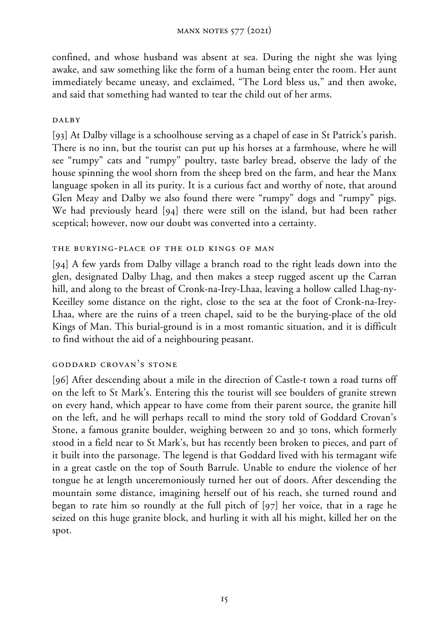confined, and whose husband was absent at sea. During the night she was lying awake, and saw something like the form of a human being enter the room. Her aunt immediately became uneasy, and exclaimed, "The Lord bless us," and then awoke, and said that something had wanted to tear the child out of her arms.

### DALBY

[93] At Dalby village is a schoolhouse serving as a chapel of ease in St Patrick's parish. There is no inn, but the tourist can put up his horses at a farmhouse, where he will see "rumpy" cats and "rumpy" poultry, taste barley bread, observe the lady of the house spinning the wool shorn from the sheep bred on the farm, and hear the Manx language spoken in all its purity. It is a curious fact and worthy of note, that around Glen Meay and Dalby we also found there were "rumpy" dogs and "rumpy" pigs. We had previously heard [94] there were still on the island, but had been rather sceptical; however, now our doubt was converted into a certainty.

### the burying-place of the old kings of man

[94] A few yards from Dalby village a branch road to the right leads down into the glen, designated Dalby Lhag, and then makes a steep rugged ascent up the Carran hill, and along to the breast of Cronk-na-Irey-Lhaa, leaving a hollow called Lhag-ny-Keeilley some distance on the right, close to the sea at the foot of Cronk-na-Irey-Lhaa, where are the ruins of a treen chapel, said to be the burying-place of the old Kings of Man. This burial-ground is in a most romantic situation, and it is difficult to find without the aid of a neighbouring peasant.

# goddard crovan's stone

[96] After descending about a mile in the direction of Castle-t town a road turns off on the left to St Mark's. Entering this the tourist will see boulders of granite strewn on every hand, which appear to have come from their parent source, the granite hill on the left, and he will perhaps recall to mind the story told of Goddard Crovan's Stone, a famous granite boulder, weighing between 20 and 30 tons, which formerly stood in a field near to St Mark's, but has recently been broken to pieces, and part of it built into the parsonage. The legend is that Goddard lived with his termagant wife in a great castle on the top of South Barrule. Unable to endure the violence of her tongue he at length unceremoniously turned her out of doors. After descending the mountain some distance, imagining herself out of his reach, she turned round and began to rate him so roundly at the full pitch of [97] her voice, that in a rage he seized on this huge granite block, and hurling it with all his might, killed her on the spot.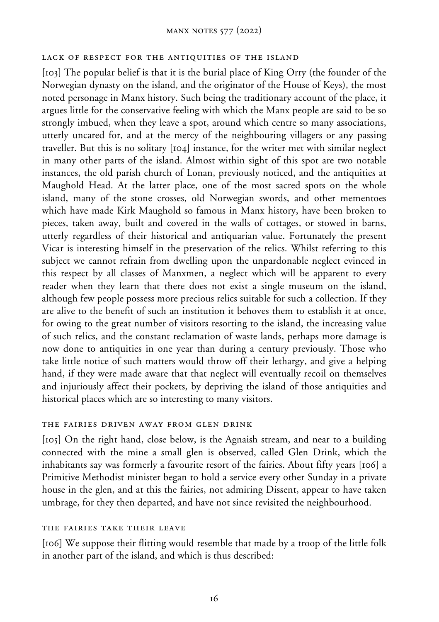#### lack of respect for the antiquities of the island

[103] The popular belief is that it is the burial place of King Orry (the founder of the Norwegian dynasty on the island, and the originator of the House of Keys), the most noted personage in Manx history. Such being the traditionary account of the place, it argues little for the conservative feeling with which the Manx people are said to be so strongly imbued, when they leave a spot, around which centre so many associations, utterly uncared for, and at the mercy of the neighbouring villagers or any passing traveller. But this is no solitary [104] instance, for the writer met with similar neglect in many other parts of the island. Almost within sight of this spot are two notable instances, the old parish church of Lonan, previously noticed, and the antiquities at Maughold Head. At the latter place, one of the most sacred spots on the whole island, many of the stone crosses, old Norwegian swords, and other mementoes which have made Kirk Maughold so famous in Manx history, have been broken to pieces, taken away, built and covered in the walls of cottages, or stowed in barns, utterly regardless of their historical and antiquarian value. Fortunately the present Vicar is interesting himself in the preservation of the relics. Whilst referring to this subject we cannot refrain from dwelling upon the unpardonable neglect evinced in this respect by all classes of Manxmen, a neglect which will be apparent to every reader when they learn that there does not exist a single museum on the island, although few people possess more precious relics suitable for such a collection. If they are alive to the benefit of such an institution it behoves them to establish it at once, for owing to the great number of visitors resorting to the island, the increasing value of such relics, and the constant reclamation of waste lands, perhaps more damage is now done to antiquities in one year than during a century previously. Those who take little notice of such matters would throw off their lethargy, and give a helping hand, if they were made aware that that neglect will eventually recoil on themselves and injuriously affect their pockets, by depriving the island of those antiquities and historical places which are so interesting to many visitors.

#### the fairies driven away from glen drink

[105] On the right hand, close below, is the Agnaish stream, and near to a building connected with the mine a small glen is observed, called Glen Drink, which the inhabitants say was formerly a favourite resort of the fairies. About fifty years [106] a Primitive Methodist minister began to hold a service every other Sunday in a private house in the glen, and at this the fairies, not admiring Dissent, appear to have taken umbrage, for they then departed, and have not since revisited the neighbourhood.

#### the fairies take their leave

[106] We suppose their flitting would resemble that made by a troop of the little folk in another part of the island, and which is thus described: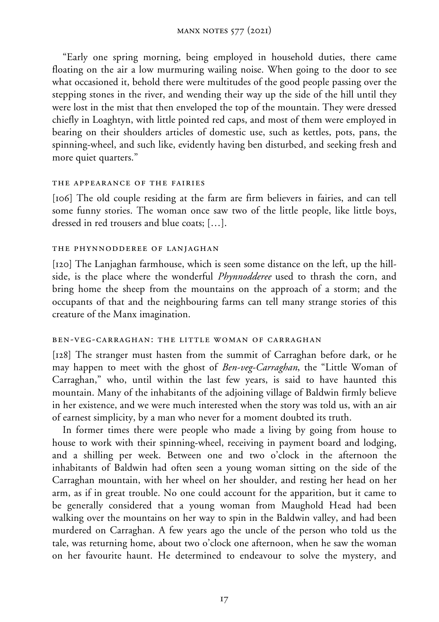"Early one spring morning, being employed in household duties, there came floating on the air a low murmuring wailing noise. When going to the door to see what occasioned it, behold there were multitudes of the good people passing over the stepping stones in the river, and wending their way up the side of the hill until they were lost in the mist that then enveloped the top of the mountain. They were dressed chiefly in Loaghtyn, with little pointed red caps, and most of them were employed in bearing on their shoulders articles of domestic use, such as kettles, pots, pans, the spinning-wheel, and such like, evidently having ben disturbed, and seeking fresh and more quiet quarters."

#### the appearance of the fairies

[106] The old couple residing at the farm are firm believers in fairies, and can tell some funny stories. The woman once saw two of the little people, like little boys, dressed in red trousers and blue coats; […].

#### the phynnodderee of lanjaghan

[120] The Lanjaghan farmhouse, which is seen some distance on the left, up the hillside, is the place where the wonderful *Phynnodderee* used to thrash the corn, and bring home the sheep from the mountains on the approach of a storm; and the occupants of that and the neighbouring farms can tell many strange stories of this creature of the Manx imagination.

#### ben-veg-carraghan: the little woman of carraghan

[128] The stranger must hasten from the summit of Carraghan before dark, or he may happen to meet with the ghost of *Ben-veg-Carraghan*, the "Little Woman of Carraghan," who, until within the last few years, is said to have haunted this mountain. Many of the inhabitants of the adjoining village of Baldwin firmly believe in her existence, and we were much interested when the story was told us, with an air of earnest simplicity, by a man who never for a moment doubted its truth.

In former times there were people who made a living by going from house to house to work with their spinning-wheel, receiving in payment board and lodging, and a shilling per week. Between one and two o'clock in the afternoon the inhabitants of Baldwin had often seen a young woman sitting on the side of the Carraghan mountain, with her wheel on her shoulder, and resting her head on her arm, as if in great trouble. No one could account for the apparition, but it came to be generally considered that a young woman from Maughold Head had been walking over the mountains on her way to spin in the Baldwin valley, and had been murdered on Carraghan. A few years ago the uncle of the person who told us the tale, was returning home, about two o'clock one afternoon, when he saw the woman on her favourite haunt. He determined to endeavour to solve the mystery, and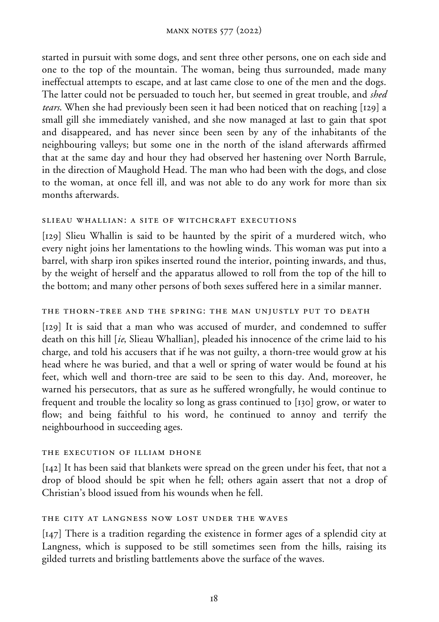started in pursuit with some dogs, and sent three other persons, one on each side and one to the top of the mountain. The woman, being thus surrounded, made many ineffectual attempts to escape, and at last came close to one of the men and the dogs. The latter could not be persuaded to touch her, but seemed in great trouble, and *shed tears*. When she had previously been seen it had been noticed that on reaching [129] a small gill she immediately vanished, and she now managed at last to gain that spot and disappeared, and has never since been seen by any of the inhabitants of the neighbouring valleys; but some one in the north of the island afterwards affirmed that at the same day and hour they had observed her hastening over North Barrule, in the direction of Maughold Head. The man who had been with the dogs, and close to the woman, at once fell ill, and was not able to do any work for more than six months afterwards.

#### slieau whallian: a site of witchcraft executions

[129] Slieu Whallin is said to be haunted by the spirit of a murdered witch, who every night joins her lamentations to the howling winds. This woman was put into a barrel, with sharp iron spikes inserted round the interior, pointing inwards, and thus, by the weight of herself and the apparatus allowed to roll from the top of the hill to the bottom; and many other persons of both sexes suffered here in a similar manner.

### the thorn-tree and the spring: the man unjustly put to death

[129] It is said that a man who was accused of murder, and condemned to suffer death on this hill [*ie*, Slieau Whallian], pleaded his innocence of the crime laid to his charge, and told his accusers that if he was not guilty, a thorn-tree would grow at his head where he was buried, and that a well or spring of water would be found at his feet, which well and thorn-tree are said to be seen to this day. And, moreover, he warned his persecutors, that as sure as he suffered wrongfully, he would continue to frequent and trouble the locality so long as grass continued to [130] grow, or water to flow; and being faithful to his word, he continued to annoy and terrify the neighbourhood in succeeding ages.

#### the execution of illiam dhone

[142] It has been said that blankets were spread on the green under his feet, that not a drop of blood should be spit when he fell; others again assert that not a drop of Christian's blood issued from his wounds when he fell.

### the city at langness now lost under the waves

[147] There is a tradition regarding the existence in former ages of a splendid city at Langness, which is supposed to be still sometimes seen from the hills, raising its gilded turrets and bristling battlements above the surface of the waves.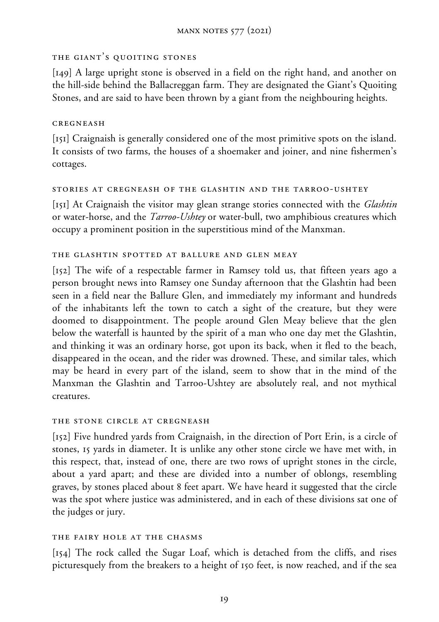### the giant's quoiting stones

[149] A large upright stone is observed in a field on the right hand, and another on the hill-side behind the Ballacreggan farm. They are designated the Giant's Quoiting Stones, and are said to have been thrown by a giant from the neighbouring heights.

### cregneash

[151] Craignaish is generally considered one of the most primitive spots on the island. It consists of two farms, the houses of a shoemaker and joiner, and nine fishermen's cottages.

### stories at cregneash of the glashtin and the tarroo-ushtey

[151] At Craignaish the visitor may glean strange stories connected with the *Glashtin* or water-horse, and the *Tarroo-Ushtey* or water-bull, two amphibious creatures which occupy a prominent position in the superstitious mind of the Manxman.

### the glashtin spotted at ballure and glen meay

[152] The wife of a respectable farmer in Ramsey told us, that fifteen years ago a person brought news into Ramsey one Sunday afternoon that the Glashtin had been seen in a field near the Ballure Glen, and immediately my informant and hundreds of the inhabitants left the town to catch a sight of the creature, but they were doomed to disappointment. The people around Glen Meay believe that the glen below the waterfall is haunted by the spirit of a man who one day met the Glashtin, and thinking it was an ordinary horse, got upon its back, when it fled to the beach, disappeared in the ocean, and the rider was drowned. These, and similar tales, which may be heard in every part of the island, seem to show that in the mind of the Manxman the Glashtin and Tarroo-Ushtey are absolutely real, and not mythical creatures.

### the stone circle at cregneash

[152] Five hundred yards from Craignaish, in the direction of Port Erin, is a circle of stones, 15 yards in diameter. It is unlike any other stone circle we have met with, in this respect, that, instead of one, there are two rows of upright stones in the circle, about a yard apart; and these are divided into a number of oblongs, resembling graves, by stones placed about 8 feet apart. We have heard it suggested that the circle was the spot where justice was administered, and in each of these divisions sat one of the judges or jury.

# the fairy hole at the chasms

[154] The rock called the Sugar Loaf, which is detached from the cliffs, and rises picturesquely from the breakers to a height of 150 feet, is now reached, and if the sea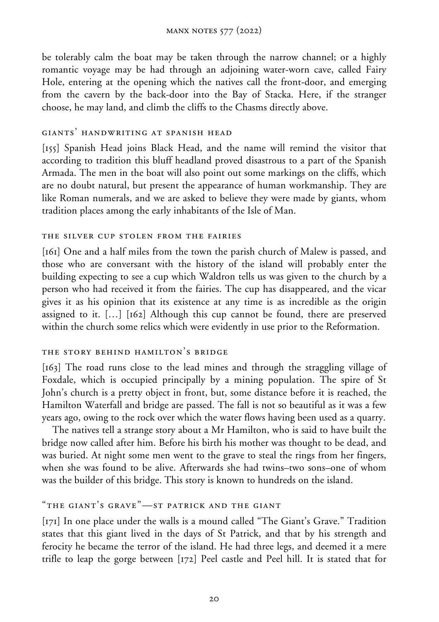be tolerably calm the boat may be taken through the narrow channel; or a highly romantic voyage may be had through an adjoining water-worn cave, called Fairy Hole, entering at the opening which the natives call the front-door, and emerging from the cavern by the back-door into the Bay of Stacka. Here, if the stranger choose, he may land, and climb the cliffs to the Chasms directly above.

#### giants' handwriting at spanish head

[155] Spanish Head joins Black Head, and the name will remind the visitor that according to tradition this bluff headland proved disastrous to a part of the Spanish Armada. The men in the boat will also point out some markings on the cliffs, which are no doubt natural, but present the appearance of human workmanship. They are like Roman numerals, and we are asked to believe they were made by giants, whom tradition places among the early inhabitants of the Isle of Man.

#### the silver cup stolen from the fairies

[161] One and a half miles from the town the parish church of Malew is passed, and those who are conversant with the history of the island will probably enter the building expecting to see a cup which Waldron tells us was given to the church by a person who had received it from the fairies. The cup has disappeared, and the vicar gives it as his opinion that its existence at any time is as incredible as the origin assigned to it. […] [162] Although this cup cannot be found, there are preserved within the church some relics which were evidently in use prior to the Reformation.

#### the story behind hamilton's bridge

[163] The road runs close to the lead mines and through the straggling village of Foxdale, which is occupied principally by a mining population. The spire of St John's church is a pretty object in front, but, some distance before it is reached, the Hamilton Waterfall and bridge are passed. The fall is not so beautiful as it was a few years ago, owing to the rock over which the water flows having been used as a quarry.

The natives tell a strange story about a Mr Hamilton, who is said to have built the bridge now called after him. Before his birth his mother was thought to be dead, and was buried. At night some men went to the grave to steal the rings from her fingers, when she was found to be alive. Afterwards she had twins–two sons–one of whom was the builder of this bridge. This story is known to hundreds on the island.

### "the giant's grave"—st patrick and the giant

[171] In one place under the walls is a mound called "The Giant's Grave." Tradition states that this giant lived in the days of St Patrick, and that by his strength and ferocity he became the terror of the island. He had three legs, and deemed it a mere trifle to leap the gorge between [172] Peel castle and Peel hill. It is stated that for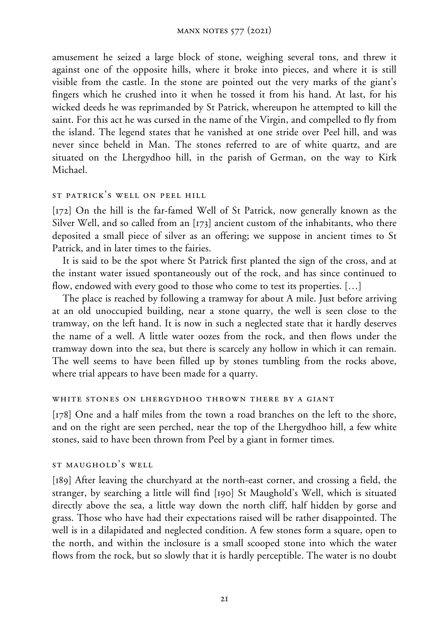amusement he seized a large block of stone, weighing several tons, and threw it against one of the opposite hills, where it broke into pieces, and where it is still visible from the castle. In the stone are pointed out the very marks of the giant's fingers which he crushed into it when he tossed it from his hand. At last, for his wicked deeds he was reprimanded by St Patrick, whereupon he attempted to kill the saint. For this act he was cursed in the name of the Virgin, and compelled to fly from the island. The legend states that he vanished at one stride over Peel hill, and was never since beheld in Man. The stones referred to are of white quartz, and are situated on the Lhergydhoo hill, in the parish of German, on the way to Kirk Michael.

#### st patrick's well on peel hill

[172] On the hill is the far-famed Well of St Patrick, now generally known as the Silver Well, and so called from an [173] ancient custom of the inhabitants, who there deposited a small piece of silver as an offering; we suppose in ancient times to St Patrick, and in later times to the fairies.

It is said to be the spot where St Patrick first planted the sign of the cross, and at the instant water issued spontaneously out of the rock, and has since continued to flow, endowed with every good to those who come to test its properties. […]

The place is reached by following a tramway for about A mile. Just before arriving at an old unoccupied building, near a stone quarry, the well is seen close to the tramway, on the left hand. It is now in such a neglected state that it hardly deserves the name of a well. A little water oozes from the rock, and then flows under the tramway down into the sea, but there is scarcely any hollow in which it can remain. The well seems to have been filled up by stones tumbling from the rocks above, where trial appears to have been made for a quarry.

#### white stones on lhergydhoo thrown there by a giant

[178] One and a half miles from the town a road branches on the left to the shore, and on the right are seen perched, near the top of the Lhergydhoo hill, a few white stones, said to have been thrown from Peel by a giant in former times.

#### st maughold's well

[189] After leaving the churchyard at the north-east corner, and crossing a field, the stranger, by searching a little will find [190] St Maughold's Well, which is situated directly above the sea, a little way down the north cliff, half hidden by gorse and grass. Those who have had their expectations raised will be rather disappointed. The well is in a dilapidated and neglected condition. A few stones form a square, open to the north, and within the inclosure is a small scooped stone into which the water flows from the rock, but so slowly that it is hardly perceptible. The water is no doubt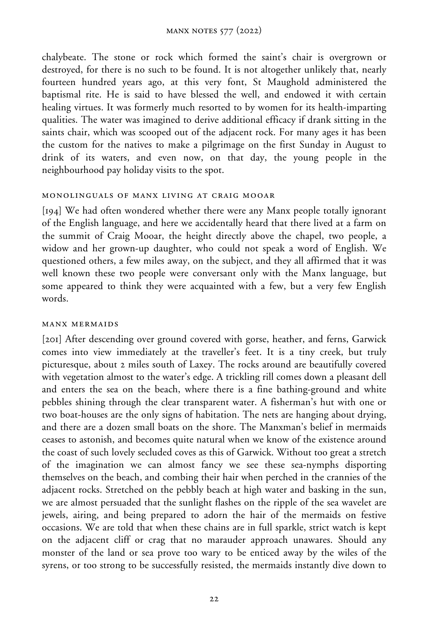chalybeate. The stone or rock which formed the saint's chair is overgrown or destroyed, for there is no such to be found. It is not altogether unlikely that, nearly fourteen hundred years ago, at this very font, St Maughold administered the baptismal rite. He is said to have blessed the well, and endowed it with certain healing virtues. It was formerly much resorted to by women for its health-imparting qualities. The water was imagined to derive additional efficacy if drank sitting in the saints chair, which was scooped out of the adjacent rock. For many ages it has been the custom for the natives to make a pilgrimage on the first Sunday in August to drink of its waters, and even now, on that day, the young people in the neighbourhood pay holiday visits to the spot.

#### monolinguals of manx living at craig mooar

[194] We had often wondered whether there were any Manx people totally ignorant of the English language, and here we accidentally heard that there lived at a farm on the summit of Craig Mooar, the height directly above the chapel, two people, a widow and her grown-up daughter, who could not speak a word of English. We questioned others, a few miles away, on the subject, and they all affirmed that it was well known these two people were conversant only with the Manx language, but some appeared to think they were acquainted with a few, but a very few English words.

### manx mermaids

[201] After descending over ground covered with gorse, heather, and ferns, Garwick comes into view immediately at the traveller's feet. It is a tiny creek, but truly picturesque, about 2 miles south of Laxey. The rocks around are beautifully covered with vegetation almost to the water's edge. A trickling rill comes down a pleasant dell and enters the sea on the beach, where there is a fine bathing-ground and white pebbles shining through the clear transparent water. A fisherman's hut with one or two boat-houses are the only signs of habitation. The nets are hanging about drying, and there are a dozen small boats on the shore. The Manxman's belief in mermaids ceases to astonish, and becomes quite natural when we know of the existence around the coast of such lovely secluded coves as this of Garwick. Without too great a stretch of the imagination we can almost fancy we see these sea-nymphs disporting themselves on the beach, and combing their hair when perched in the crannies of the adjacent rocks. Stretched on the pebbly beach at high water and basking in the sun, we are almost persuaded that the sunlight flashes on the ripple of the sea wavelet are jewels, airing, and being prepared to adorn the hair of the mermaids on festive occasions. We are told that when these chains are in full sparkle, strict watch is kept on the adjacent cliff or crag that no marauder approach unawares. Should any monster of the land or sea prove too wary to be enticed away by the wiles of the syrens, or too strong to be successfully resisted, the mermaids instantly dive down to